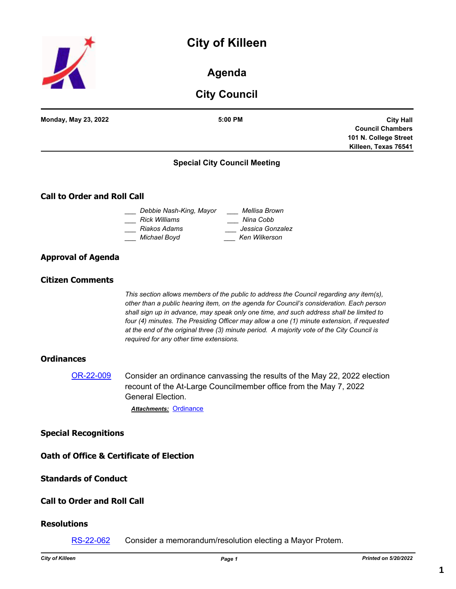# **City of Killeen**



# **Agenda**

# **City Council**

| <b>City Council</b>                |                                                                                                                                                                                                                                                                                                                                                                                                                                                                                                                       |                                                                                              |  |  |
|------------------------------------|-----------------------------------------------------------------------------------------------------------------------------------------------------------------------------------------------------------------------------------------------------------------------------------------------------------------------------------------------------------------------------------------------------------------------------------------------------------------------------------------------------------------------|----------------------------------------------------------------------------------------------|--|--|
| <b>Monday, May 23, 2022</b>        | 5:00 PM                                                                                                                                                                                                                                                                                                                                                                                                                                                                                                               | <b>City Hall</b><br><b>Council Chambers</b><br>101 N. College Street<br>Killeen, Texas 76541 |  |  |
|                                    | <b>Special City Council Meeting</b>                                                                                                                                                                                                                                                                                                                                                                                                                                                                                   |                                                                                              |  |  |
| <b>Call to Order and Roll Call</b> |                                                                                                                                                                                                                                                                                                                                                                                                                                                                                                                       |                                                                                              |  |  |
|                                    | _  Debbie Nash-King, Mayor<br>____ Mellisa Brown<br>Rick Williams<br>Nina Cobb<br>Jessica Gonzalez<br>Riakos Adams<br>Ken Wilkerson<br>Michael Boyd                                                                                                                                                                                                                                                                                                                                                                   |                                                                                              |  |  |
| <b>Approval of Agenda</b>          |                                                                                                                                                                                                                                                                                                                                                                                                                                                                                                                       |                                                                                              |  |  |
| <b>Citizen Comments</b>            |                                                                                                                                                                                                                                                                                                                                                                                                                                                                                                                       |                                                                                              |  |  |
|                                    | This section allows members of the public to address the Council regarding any item(s),<br>other than a public hearing item, on the agenda for Council's consideration. Each person<br>shall sign up in advance, may speak only one time, and such address shall be limited to<br>four (4) minutes. The Presiding Officer may allow a one (1) minute extension, if requested<br>at the end of the original three (3) minute period. A majority vote of the City Council is<br>required for any other time extensions. |                                                                                              |  |  |
| <b>Ordinances</b>                  |                                                                                                                                                                                                                                                                                                                                                                                                                                                                                                                       |                                                                                              |  |  |
| OR-22-009                          | Consider an ordinance canvassing the results of the May 22, 2022 election<br>recount of the At-Large Councilmember office from the May 7, 2022<br><b>General Election.</b><br><b>Attachments: Ordinance</b>                                                                                                                                                                                                                                                                                                           |                                                                                              |  |  |
| <b>Special Recognitions</b>        |                                                                                                                                                                                                                                                                                                                                                                                                                                                                                                                       |                                                                                              |  |  |
|                                    | <b>Oath of Office &amp; Certificate of Election</b>                                                                                                                                                                                                                                                                                                                                                                                                                                                                   |                                                                                              |  |  |
| <b>Standards of Conduct</b>        |                                                                                                                                                                                                                                                                                                                                                                                                                                                                                                                       |                                                                                              |  |  |
| <b>Call to Order and Roll Call</b> |                                                                                                                                                                                                                                                                                                                                                                                                                                                                                                                       |                                                                                              |  |  |
| <b>Resolutions</b>                 |                                                                                                                                                                                                                                                                                                                                                                                                                                                                                                                       |                                                                                              |  |  |

[RS-22-062](http://killeen.legistar.com/gateway.aspx?m=l&id=/matter.aspx?key=6108) Consider a memorandum/resolution electing a Mayor Protem.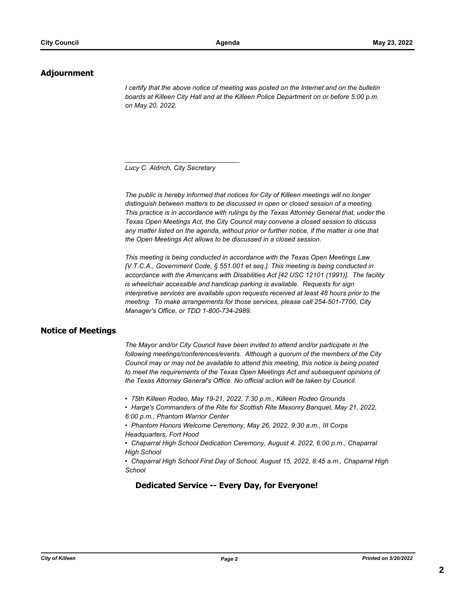## **Adjournment**

*I* certify that the above notice of meeting was posted on the Internet and on the bulletin *boards at Killeen City Hall and at the Killeen Police Department on or before 5:00 p.m. on May 20, 2022.*

*Lucy C. Aldrich, City Secretary* 

*\_\_\_\_\_\_\_\_\_\_\_\_\_\_\_\_\_\_\_\_\_\_\_\_\_\_\_\_\_\_\_*

*The public is hereby informed that notices for City of Killeen meetings will no longer distinguish between matters to be discussed in open or closed session of a meeting. This practice is in accordance with rulings by the Texas Attorney General that, under the Texas Open Meetings Act, the City Council may convene a closed session to discuss any matter listed on the agenda, without prior or further notice, if the matter is one that the Open Meetings Act allows to be discussed in a closed session.*

*This meeting is being conducted in accordance with the Texas Open Meetings Law [V.T.C.A., Government Code, § 551.001 et seq.]. This meeting is being conducted in accordance with the Americans with Disabilities Act [42 USC 12101 (1991)]. The facility is wheelchair accessible and handicap parking is available. Requests for sign interpretive services are available upon requests received at least 48 hours prior to the meeting. To make arrangements for those services, please call 254-501-7700, City Manager's Office, or TDD 1-800-734-2989.*

## **Notice of Meetings**

*The Mayor and/or City Council have been invited to attend and/or participate in the following meetings/conferences/events. Although a quorum of the members of the City Council may or may not be available to attend this meeting, this notice is being posted to meet the requirements of the Texas Open Meetings Act and subsequent opinions of the Texas Attorney General's Office. No official action will be taken by Council.*

*• 75th Killeen Rodeo, May 19-21, 2022, 7:30 p.m., Killeen Rodeo Grounds*

*• Harge's Commanders of the Rite for Scottish Rite Masonry Banquet, May 21, 2022, 6:00 p.m., Phantom Warrior Center*

*• Phantom Honors Welcome Ceremony, May 26, 2022, 9:30 a.m., III Corps Headquarters, Fort Hood*

• Chaparral High School Dedication Ceremony, August 4, 2022, 6:00 p.m., Chaparral *High School*

*• Chaparral High School First Day of School, August 15, 2022, 8:45 a.m., Chaparral High School*

## **Dedicated Service -- Every Day, for Everyone!**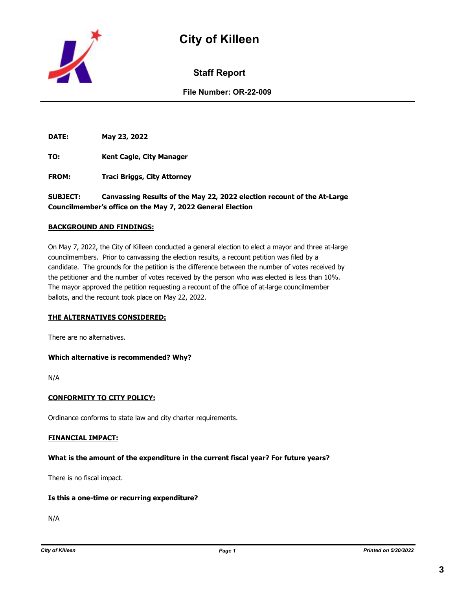



**Staff Report**

**File Number: OR-22-009**

**DATE: May 23, 2022**

**TO: Kent Cagle, City Manager**

**FROM: Traci Briggs, City Attorney**

**SUBJECT: Canvassing Results of the May 22, 2022 election recount of the At-Large Councilmember's office on the May 7, 2022 General Election**

#### **BACKGROUND AND FINDINGS:**

On May 7, 2022, the City of Killeen conducted a general election to elect a mayor and three at-large councilmembers. Prior to canvassing the election results, a recount petition was filed by a candidate. The grounds for the petition is the difference between the number of votes received by the petitioner and the number of votes received by the person who was elected is less than 10%. The mayor approved the petition requesting a recount of the office of at-large councilmember ballots, and the recount took place on May 22, 2022.

#### **THE ALTERNATIVES CONSIDERED:**

There are no alternatives.

#### **Which alternative is recommended? Why?**

N/A

#### **CONFORMITY TO CITY POLICY:**

Ordinance conforms to state law and city charter requirements.

#### **FINANCIAL IMPACT:**

#### **What is the amount of the expenditure in the current fiscal year? For future years?**

There is no fiscal impact.

#### **Is this a one-time or recurring expenditure?**

N/A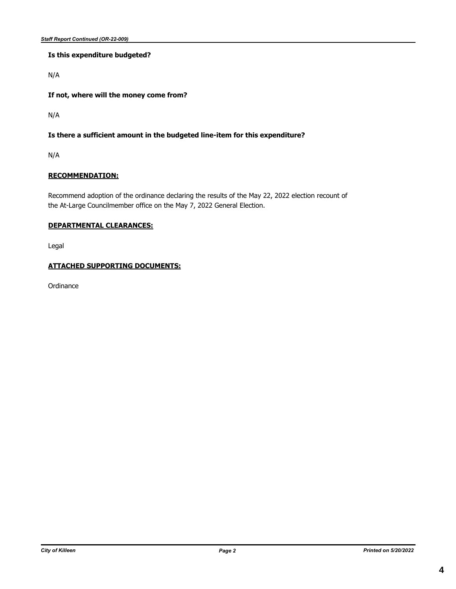## **Is this expenditure budgeted?**

N/A

**If not, where will the money come from?**

N/A

## **Is there a sufficient amount in the budgeted line-item for this expenditure?**

N/A

### **RECOMMENDATION:**

Recommend adoption of the ordinance declaring the results of the May 22, 2022 election recount of the At-Large Councilmember office on the May 7, 2022 General Election.

#### **DEPARTMENTAL CLEARANCES:**

Legal

## **ATTACHED SUPPORTING DOCUMENTS:**

**Ordinance**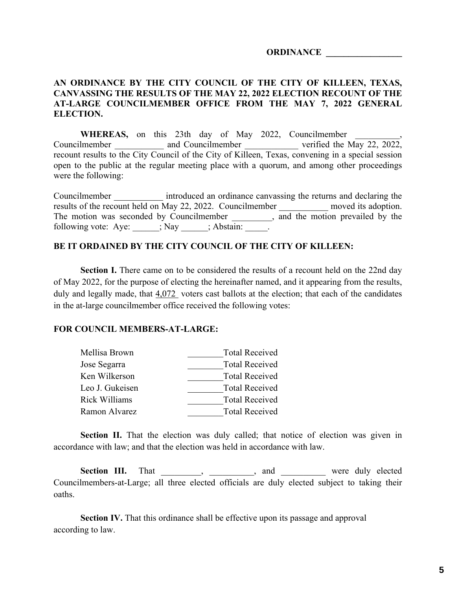## **ORDINANCE \_\_\_\_\_\_\_\_\_\_\_\_\_\_\_\_\_**

## **AN ORDINANCE BY THE CITY COUNCIL OF THE CITY OF KILLEEN, TEXAS, CANVASSING THE RESULTS OF THE MAY 22, 2022 ELECTION RECOUNT OF THE AT-LARGE COUNCILMEMBER OFFICE FROM THE MAY 7, 2022 GENERAL ELECTION.**

WHEREAS, on this 23th day of May 2022, Councilmember Councilmember \_\_\_\_\_\_\_\_\_\_\_ and Councilmember \_\_\_\_\_\_\_\_\_\_\_\_\_ verified the May 22, 2022, recount results to the City Council of the City of Killeen, Texas, convening in a special session open to the public at the regular meeting place with a quorum, and among other proceedings were the following:

Councilmember **introduced an ordinance canvassing the returns and declaring the** results of the recount held on May 22, 2022. Councilmember moved its adoption. The motion was seconded by Councilmember \_\_\_\_\_\_\_, and the motion prevailed by the following vote: Aye:  $\qquad \qquad ;$  Nay  $\qquad \qquad ;$  Abstain:  $\qquad \qquad$ .

## **BE IT ORDAINED BY THE CITY COUNCIL OF THE CITY OF KILLEEN:**

**Section I.** There came on to be considered the results of a recount held on the 22nd day of May 2022, for the purpose of electing the hereinafter named, and it appearing from the results, duly and legally made, that  $4,072$  voters cast ballots at the election; that each of the candidates in the at-large councilmember office received the following votes:

## **FOR COUNCIL MEMBERS-AT-LARGE:**

| Mellisa Brown   | <b>Total Received</b> |
|-----------------|-----------------------|
| Jose Segarra    | <b>Total Received</b> |
| Ken Wilkerson   | <b>Total Received</b> |
| Leo J. Gukeisen | <b>Total Received</b> |
| Rick Williams   | <b>Total Received</b> |
| Ramon Alvarez   | <b>Total Received</b> |

**Section II.** That the election was duly called; that notice of election was given in accordance with law; and that the election was held in accordance with law.

Section III. That \_\_\_\_\_\_\_, \_\_\_\_\_\_\_\_, and \_\_\_\_\_\_\_\_ were duly elected Councilmembers-at-Large; all three elected officials are duly elected subject to taking their oaths.

**Section IV.** That this ordinance shall be effective upon its passage and approval according to law.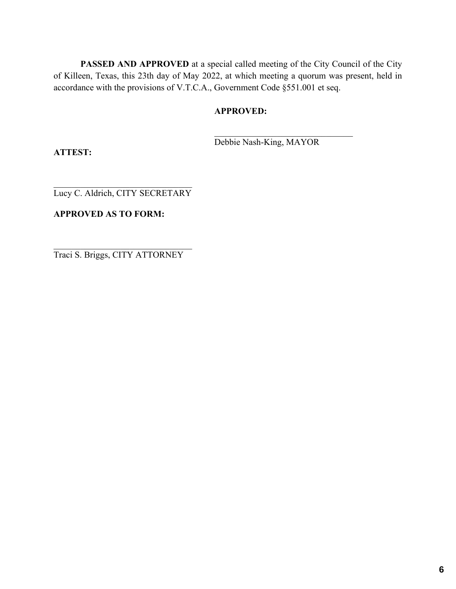**PASSED AND APPROVED** at a special called meeting of the City Council of the City of Killeen, Texas, this 23th day of May 2022, at which meeting a quorum was present, held in accordance with the provisions of V.T.C.A., Government Code §551.001 et seq.

## **APPROVED:**

Debbie Nash-King, MAYOR

**ATTEST:**

Lucy C. Aldrich, CITY SECRETARY

## **APPROVED AS TO FORM:**

 $\overline{\phantom{a}}$ Traci S. Briggs, CITY ATTORNEY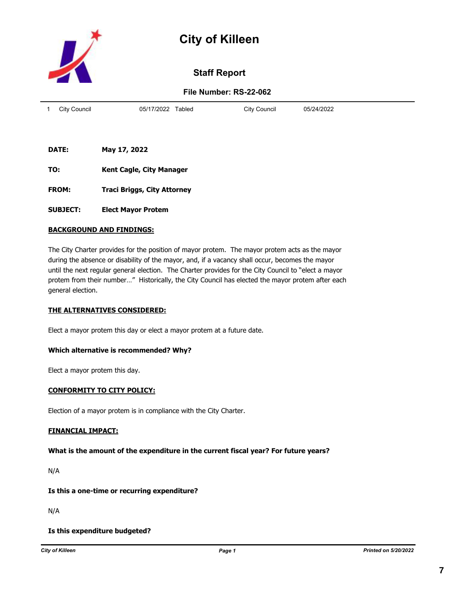



# **Staff Report**

## **File Number: RS-22-062**

| City Council | 05/17/2022<br>Tabled | City Council | 05/24/2022 |
|--------------|----------------------|--------------|------------|
|              |                      |              |            |

- **DATE: May 17, 2022**
- **TO: Kent Cagle, City Manager**
- **FROM: Traci Briggs, City Attorney**
- **SUBJECT: Elect Mayor Protem**

#### **BACKGROUND AND FINDINGS:**

The City Charter provides for the position of mayor protem. The mayor protem acts as the mayor during the absence or disability of the mayor, and, if a vacancy shall occur, becomes the mayor until the next regular general election. The Charter provides for the City Council to "elect a mayor protem from their number…" Historically, the City Council has elected the mayor protem after each general election.

#### **THE ALTERNATIVES CONSIDERED:**

Elect a mayor protem this day or elect a mayor protem at a future date.

#### **Which alternative is recommended? Why?**

Elect a mayor protem this day.

#### **CONFORMITY TO CITY POLICY:**

Election of a mayor protem is in compliance with the City Charter.

#### **FINANCIAL IMPACT:**

#### **What is the amount of the expenditure in the current fiscal year? For future years?**

N/A

## **Is this a one-time or recurring expenditure?**

N/A

#### **Is this expenditure budgeted?**